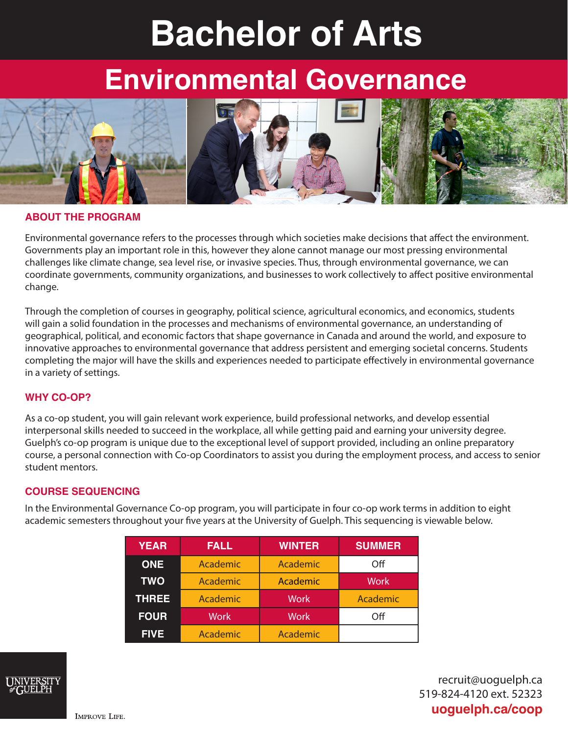# **Bachelor of Arts**

## **Environmental Governance**



#### **ABOUT THE PROGRAM**

Environmental governance refers to the processes through which societies make decisions that affect the environment. Governments play an important role in this, however they alone cannot manage our most pressing environmental challenges like climate change, sea level rise, or invasive species. Thus, through environmental governance, we can coordinate governments, community organizations, and businesses to work collectively to affect positive environmental change.

Through the completion of courses in geography, political science, agricultural economics, and economics, students will gain a solid foundation in the processes and mechanisms of environmental governance, an understanding of geographical, political, and economic factors that shape governance in Canada and around the world, and exposure to innovative approaches to environmental governance that address persistent and emerging societal concerns. Students completing the major will have the skills and experiences needed to participate effectively in environmental governance in a variety of settings.

#### **WHY CO-OP?**

As a co-op student, you will gain relevant work experience, build professional networks, and develop essential interpersonal skills needed to succeed in the workplace, all while getting paid and earning your university degree. Guelph's co-op program is unique due to the exceptional level of support provided, including an online preparatory course, a personal connection with Co-op Coordinators to assist you during the employment process, and access to senior student mentors.

#### **COURSE SEQUENCING**

In the Environmental Governance Co-op program, you will participate in four co-op work terms in addition to eight academic semesters throughout your five years at the University of Guelph. This sequencing is viewable below.

| <b>YEAR</b>  | <b>FALL</b> | <b>WINTER</b> | <b>SUMMER</b> |
|--------------|-------------|---------------|---------------|
| <b>ONE</b>   | Academic    | Academic      | Off           |
| <b>TWO</b>   | Academic    | Academic      | <b>Work</b>   |
| <b>THREE</b> | Academic    | <b>Work</b>   | Academic      |
| <b>FOUR</b>  | <b>Work</b> | <b>Work</b>   | Off           |
| <b>FIVE</b>  | Academic    | Academic      |               |



recruit@uoguelph.ca 519-824-4120 ext. 52323 **uoguelph.ca/coop**